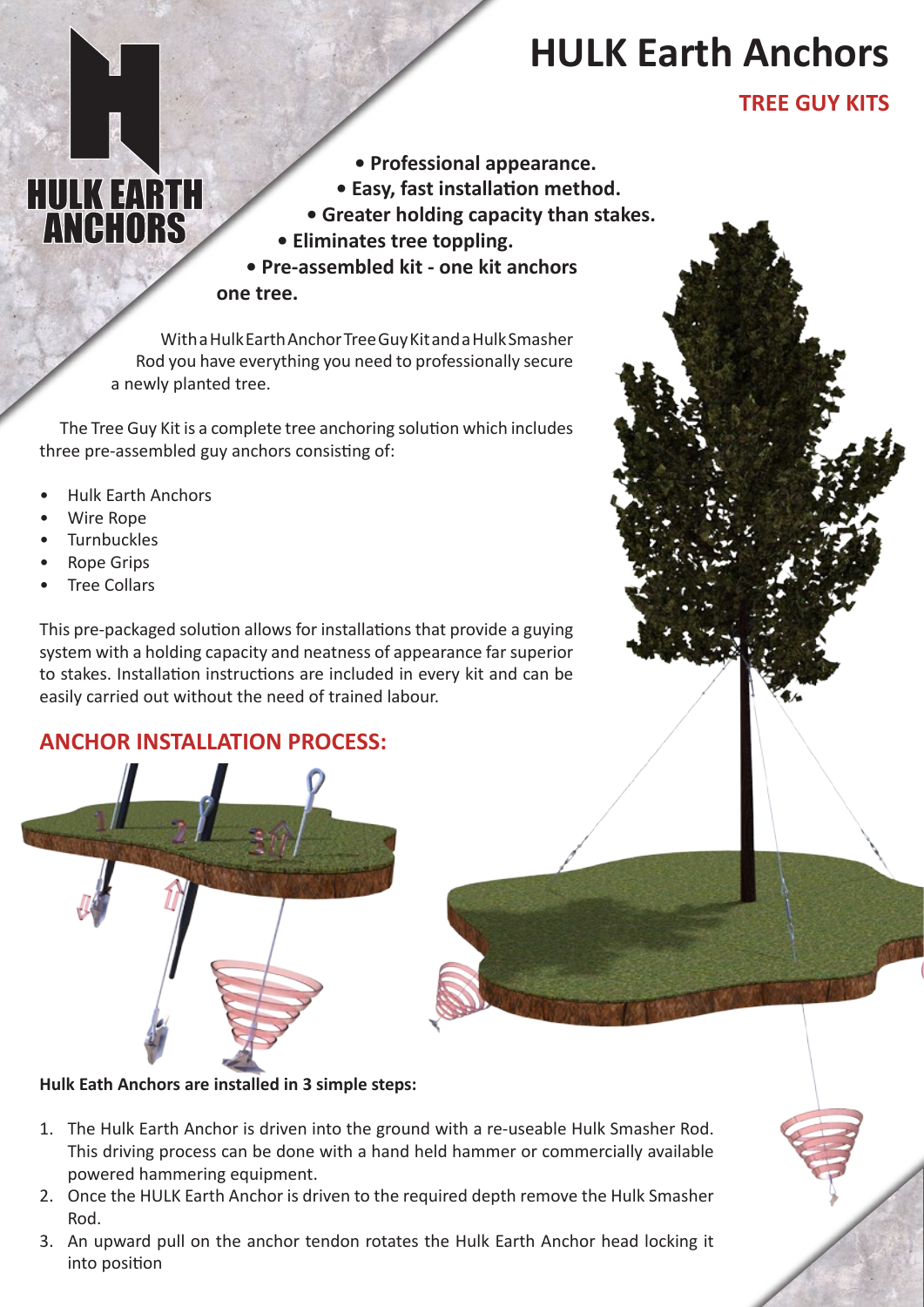# **HULK Earth Anchors**

### **TREE GUY KITS**

- **Professional appearance.**
- **Easy, fast installation method.**
- **Greater holding capacity than stakes.**
- **Eliminates tree toppling.**

**• Pre-assembled kit - one kit anchors one tree.**

With a Hulk Earth Anchor Tree Guy Kit and a Hulk Smasher Rod you have everything you need to professionally secure a newly planted tree.

The Tree Guy Kit is a complete tree anchoring solution which includes three pre-assembled guy anchors consisting of:

• Hulk Earth Anchors

**HULK EARTH**<br>**ANGHORS** 

- Wire Rope
- **Turnbuckles**
- Rope Grips
- **Tree Collars**

This pre-packaged solution allows for installations that provide a guying system with a holding capacity and neatness of appearance far superior to stakes. Installation instructions are included in every kit and can be easily carried out without the need of trained labour.

### **ANCHOR INSTALLATION PROCESS:**



**Hulk Eath Anchors are installed in 3 simple steps:**

- 1. The Hulk Earth Anchor is driven into the ground with a re-useable Hulk Smasher Rod. This driving process can be done with a hand held hammer or commercially available powered hammering equipment.
- 2. Once the HULK Earth Anchor is driven to the required depth remove the Hulk Smasher Rod.
- 3. An upward pull on the anchor tendon rotates the Hulk Earth Anchor head locking it into position